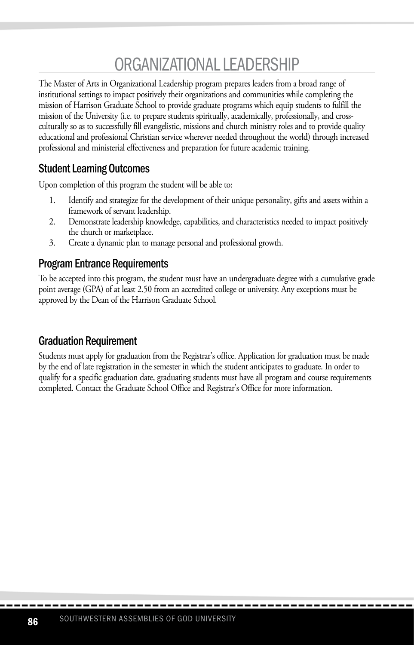# ORGANIZATIONAL LEADERSHIP

The Master of Arts in Organizational Leadership program prepares leaders from a broad range of institutional settings to impact positively their organizations and communities while completing the mission of Harrison Graduate School to provide graduate programs which equip students to fulfill the mission of the University (i.e. to prepare students spiritually, academically, professionally, and crossculturally so as to successfully fill evangelistic, missions and church ministry roles and to provide quality educational and professional Christian service wherever needed throughout the world) through increased professional and ministerial effectiveness and preparation for future academic training.

### Student Learning Outcomes

Upon completion of this program the student will be able to:

- 1. Identify and strategize for the development of their unique personality, gifts and assets within a framework of servant leadership.
- 2. Demonstrate leadership knowledge, capabilities, and characteristics needed to impact positively the church or marketplace.
- 3. Create a dynamic plan to manage personal and professional growth.

#### Program Entrance Requirements

To be accepted into this program, the student must have an undergraduate degree with a cumulative grade point average (GPA) of at least 2.50 from an accredited college or university. Any exceptions must be approved by the Dean of the Harrison Graduate School.

#### Graduation Requirement

Students must apply for graduation from the Registrar's office. Application for graduation must be made by the end of late registration in the semester in which the student anticipates to graduate. In order to qualify for a specific graduation date, graduating students must have all program and course requirements completed. Contact the Graduate School Office and Registrar's Office for more information.